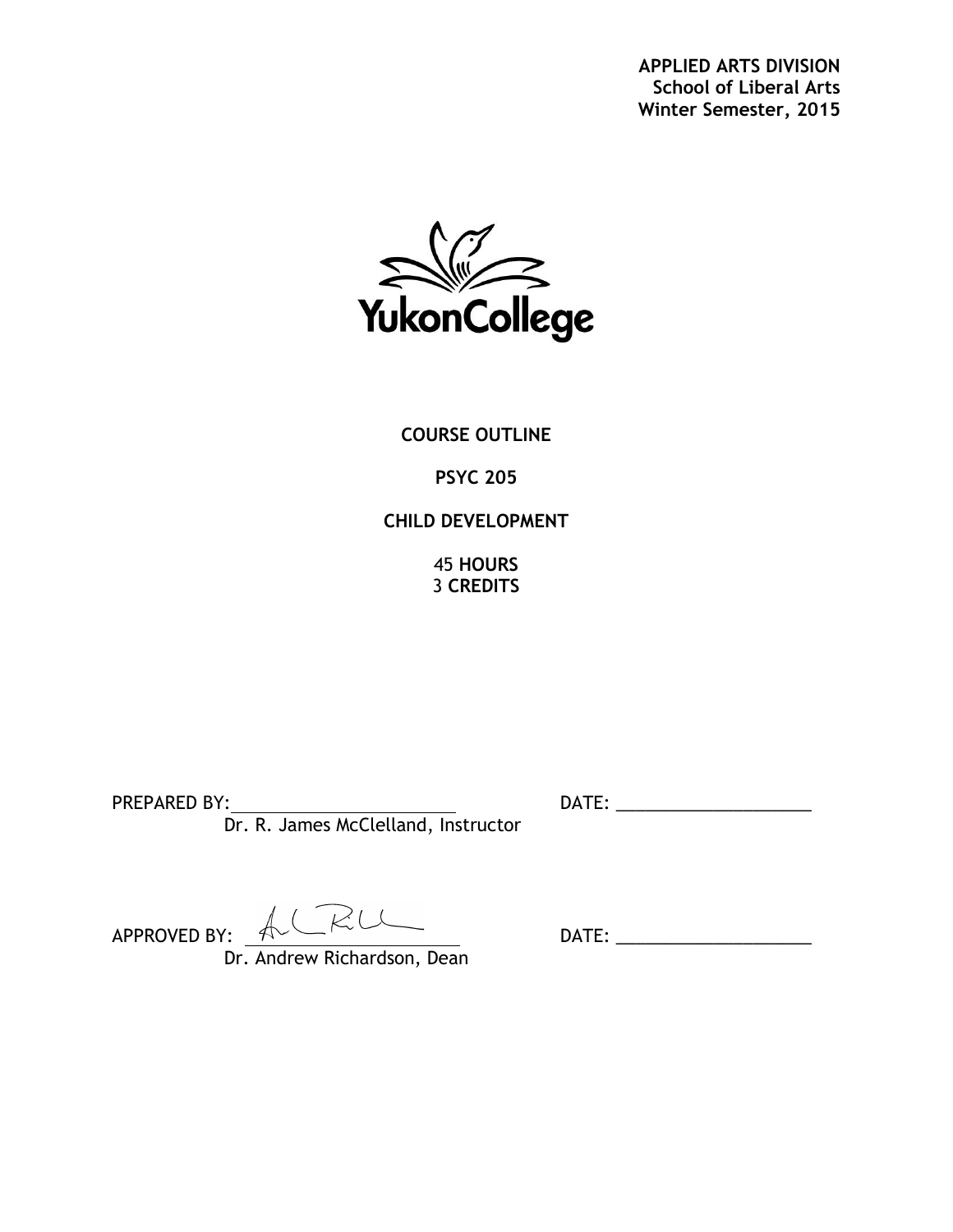**APPLIED ARTS DIVISION School of Liberal Arts Winter Semester, 2015**



**COURSE OUTLINE**

# **PSYC 205**

# **CHILD DEVELOPMENT**

45 **HOURS** 3 **CREDITS**

Dr. R. James McClelland, Instructor

PREPARED BY: DATE: \_\_\_\_\_\_\_\_\_\_\_\_\_\_\_\_\_\_\_\_

 $APPROVED BY: \nightharpoonup \nightharpoonup \nightharpoonup \nightharpoonup \nightharpoonup \nightharpoonup \nightharpoonup \nightharpoonup \nightharpoonup \nightharpoonup \nightharpoonup \nightharpoonup \nightharpoonup \nightharpoonup \nightharpoonup \nightharpoonup \nightharpoonup \nightharpoonup \nightharpoonup \nightharpoonup \nightharpoonup \nightharpoonup \nightharpoonup \nightharpoonup \nightharpoonup \nightharpoonup \nightharpoonup \nightharpoonup \nightharpoonup \nightharpoonup \nightharpoonup \nightharpoonup \nightharpoonup \nightharpoonup \nightharpoonup \nightharpoon$ 

Dr. Andrew Richardson, Dean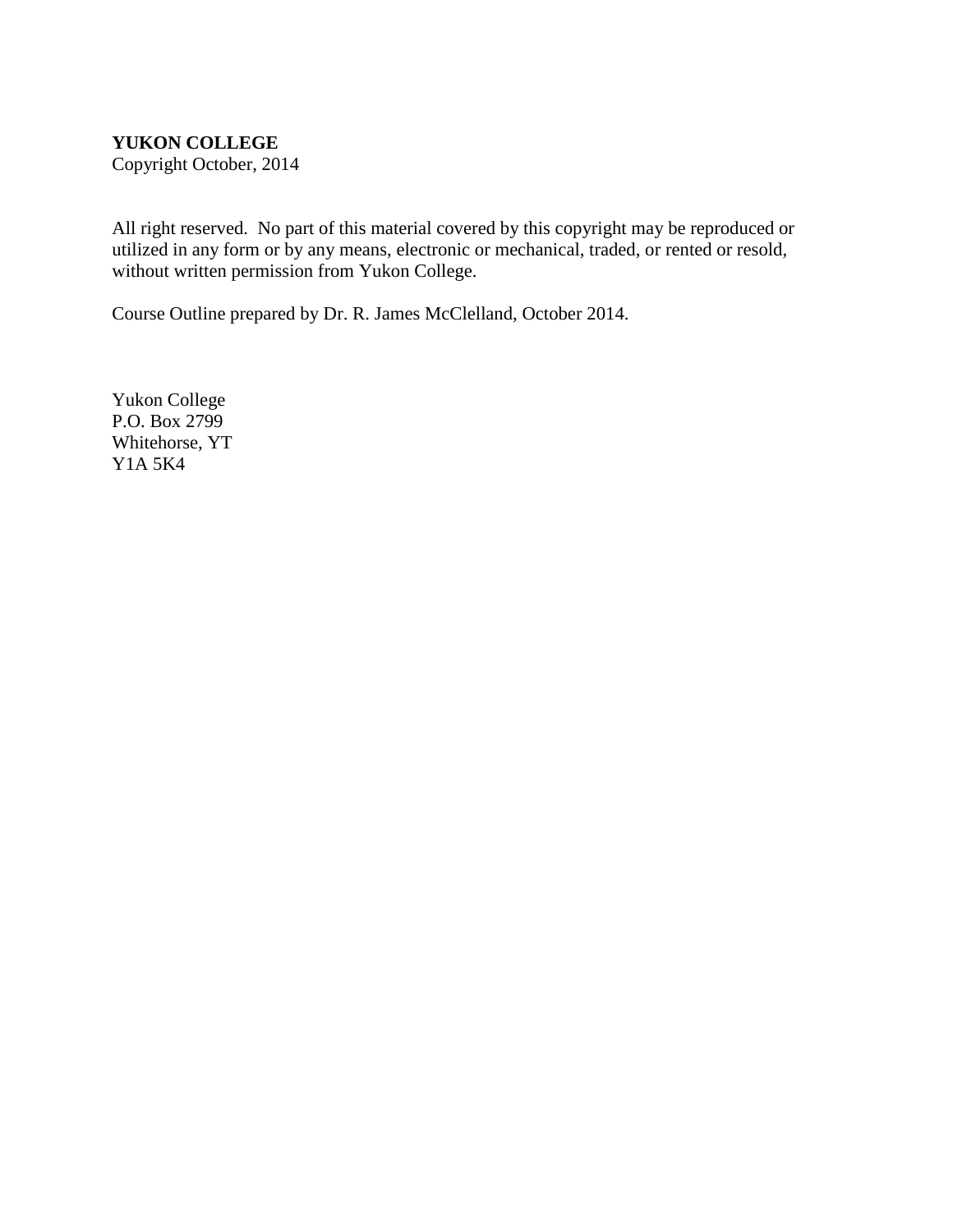#### **YUKON COLLEGE**

Copyright October, 2014

All right reserved. No part of this material covered by this copyright may be reproduced or utilized in any form or by any means, electronic or mechanical, traded, or rented or resold, without written permission from Yukon College.

Course Outline prepared by Dr. R. James McClelland, October 2014.

Yukon College P.O. Box 2799 Whitehorse, YT Y1A 5K4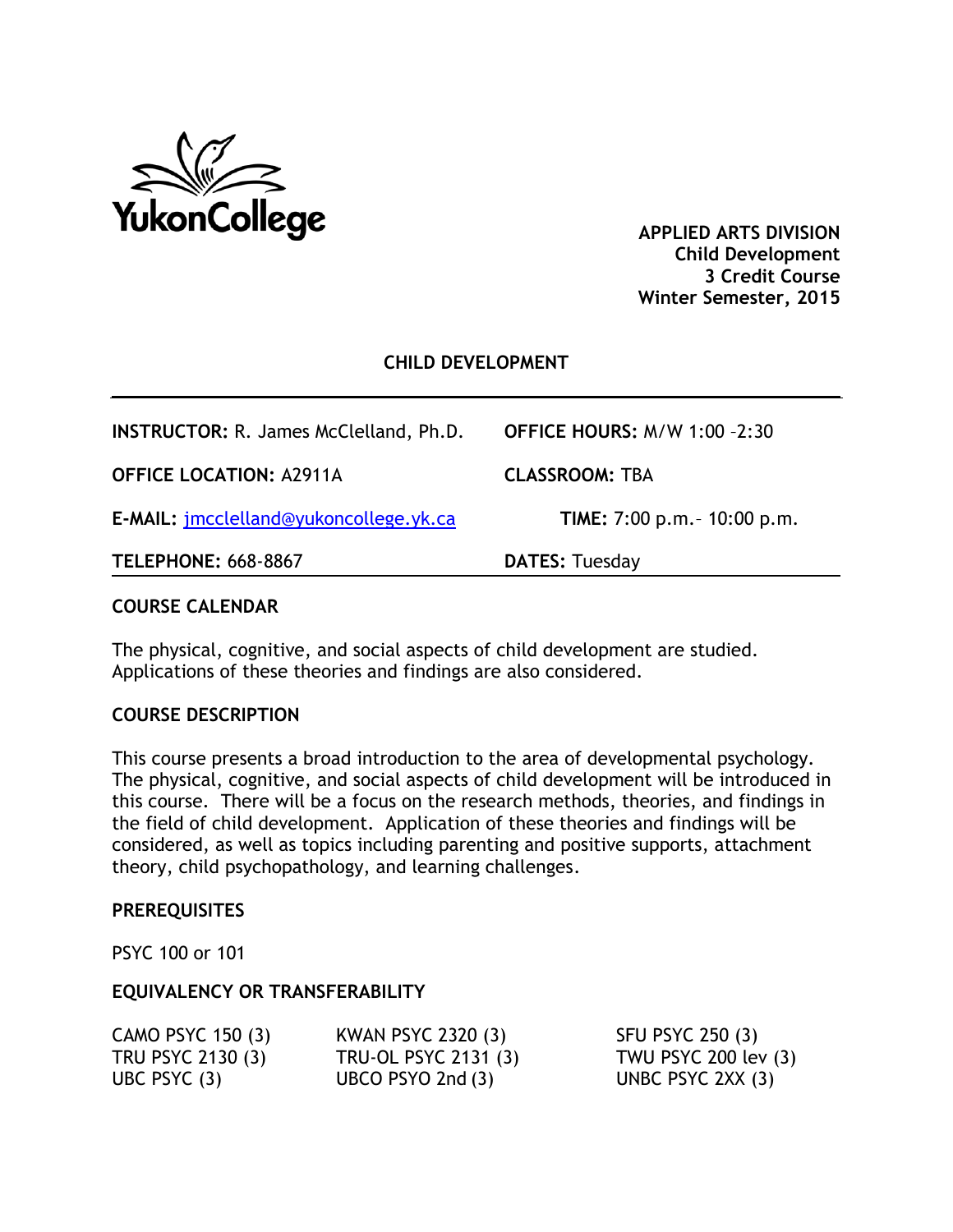

**APPLIED ARTS DIVISION Child Development 3 Credit Course Winter Semester, 2015**

#### **CHILD DEVELOPMENT**

| <b>INSTRUCTOR: R. James McClelland, Ph.D.</b> | <b>OFFICE HOURS: M/W 1:00 -2:30</b> |
|-----------------------------------------------|-------------------------------------|
| <b>OFFICE LOCATION: A2911A</b>                | <b>CLASSROOM: TBA</b>               |
| E-MAIL: jmcclelland@yukoncollege.yk.ca        | TIME: 7:00 p.m. - 10:00 p.m.        |
| <b>TELEPHONE: 668-8867</b>                    | <b>DATES: Tuesday</b>               |

#### **COURSE CALENDAR**

The physical, cognitive, and social aspects of child development are studied. Applications of these theories and findings are also considered.

#### **COURSE DESCRIPTION**

This course presents a broad introduction to the area of developmental psychology. The physical, cognitive, and social aspects of child development will be introduced in this course. There will be a focus on the research methods, theories, and findings in the field of child development. Application of these theories and findings will be considered, as well as topics including parenting and positive supports, attachment theory, child psychopathology, and learning challenges.

#### **PREREQUISITES**

PSYC 100 or 101

#### **EQUIVALENCY OR TRANSFERABILITY**

| CAMO PSYC 150 (3) | KWAN PSYC 2320 (3)   | SFU PSYC 250 (3)     |
|-------------------|----------------------|----------------------|
| TRU PSYC 2130 (3) | TRU-OL PSYC 2131 (3) | TWU PSYC 200 lev (3) |
| UBC PSYC $(3)$    | UBCO PSYO 2nd $(3)$  | UNBC PSYC 2XX (3)    |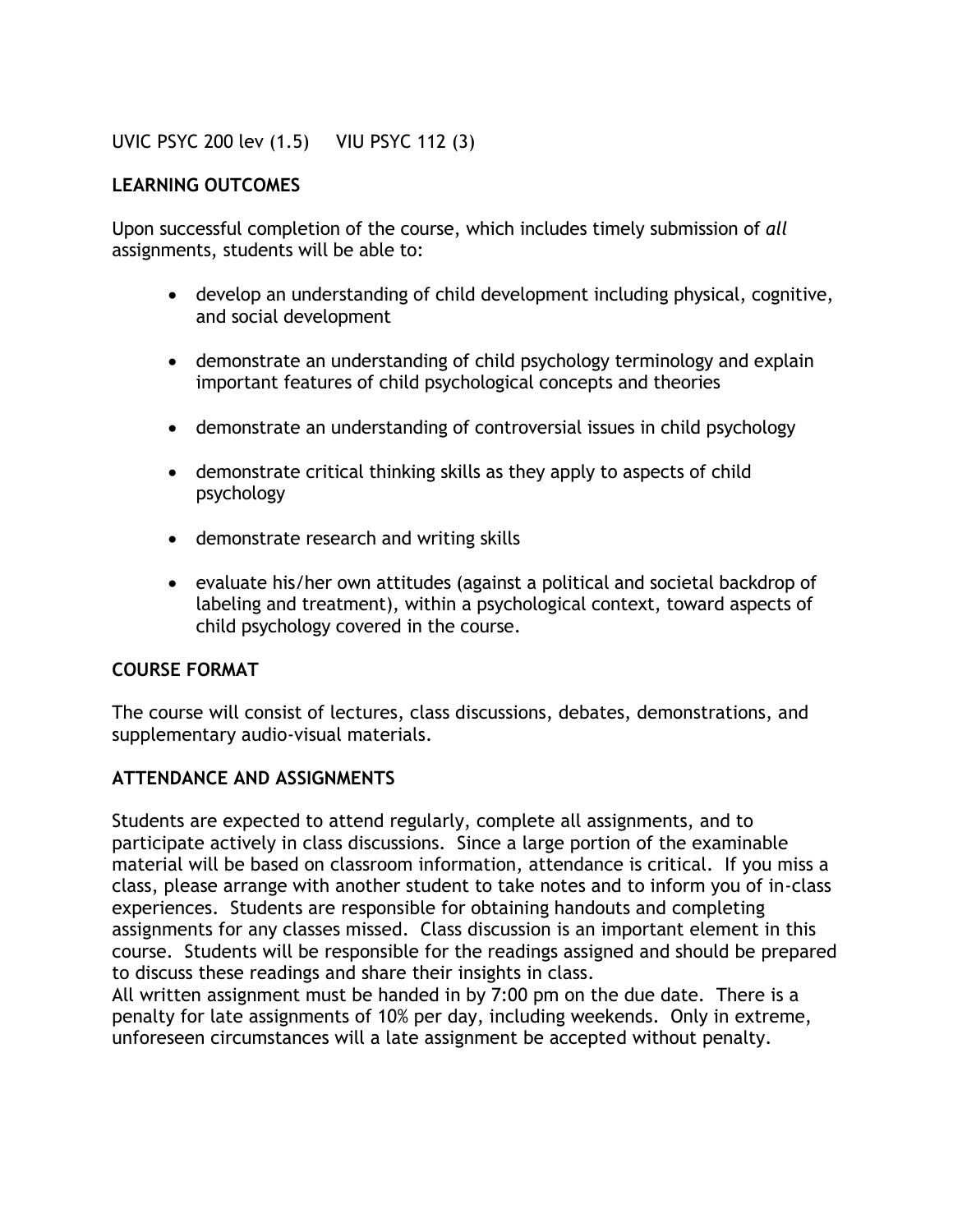UVIC PSYC 200 lev (1.5) VIU PSYC 112 (3)

## **LEARNING OUTCOMES**

Upon successful completion of the course, which includes timely submission of *all* assignments, students will be able to:

- develop an understanding of child development including physical, cognitive, and social development
- demonstrate an understanding of child psychology terminology and explain important features of child psychological concepts and theories
- demonstrate an understanding of controversial issues in child psychology
- demonstrate critical thinking skills as they apply to aspects of child psychology
- demonstrate research and writing skills
- evaluate his/her own attitudes (against a political and societal backdrop of labeling and treatment), within a psychological context, toward aspects of child psychology covered in the course.

#### **COURSE FORMAT**

The course will consist of lectures, class discussions, debates, demonstrations, and supplementary audio-visual materials.

# **ATTENDANCE AND ASSIGNMENTS**

Students are expected to attend regularly, complete all assignments, and to participate actively in class discussions. Since a large portion of the examinable material will be based on classroom information, attendance is critical. If you miss a class, please arrange with another student to take notes and to inform you of in-class experiences. Students are responsible for obtaining handouts and completing assignments for any classes missed. Class discussion is an important element in this course. Students will be responsible for the readings assigned and should be prepared to discuss these readings and share their insights in class.

All written assignment must be handed in by 7:00 pm on the due date. There is a penalty for late assignments of 10% per day, including weekends. Only in extreme, unforeseen circumstances will a late assignment be accepted without penalty.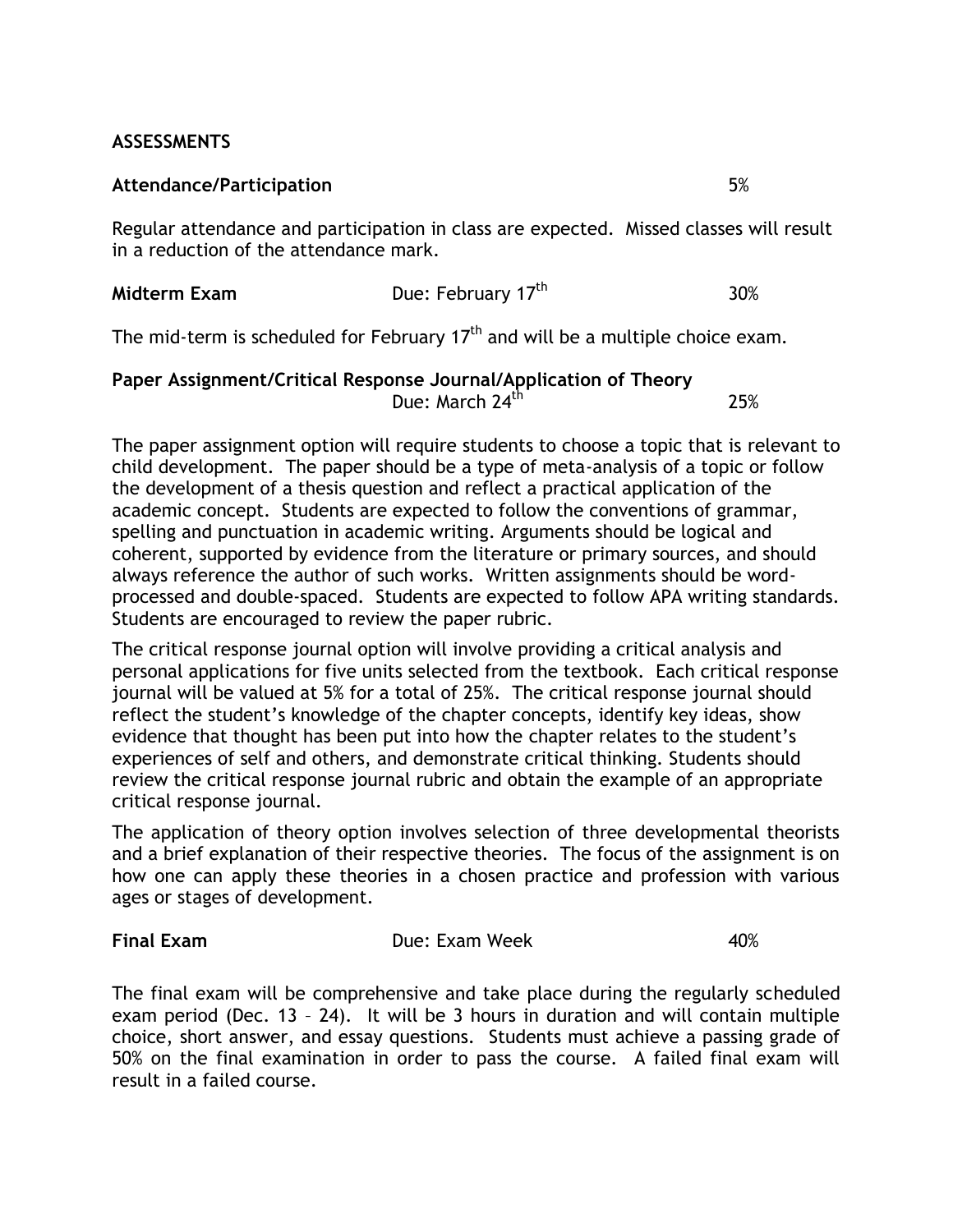## **ASSESSMENTS**

#### **Attendance/Participation** 5%

Regular attendance and participation in class are expected. Missed classes will result in a reduction of the attendance mark.

| Due: February 17 <sup>th</sup><br>30%<br>Midterm Exam |
|-------------------------------------------------------|
|-------------------------------------------------------|

The mid-term is scheduled for February 17<sup>th</sup> and will be a multiple choice exam.

#### **Paper Assignment/Critical Response Journal/Application of Theory** Due: March  $24^{th}$  25%

The paper assignment option will require students to choose a topic that is relevant to child development. The paper should be a type of meta-analysis of a topic or follow the development of a thesis question and reflect a practical application of the academic concept. Students are expected to follow the conventions of grammar, spelling and punctuation in academic writing. Arguments should be logical and coherent, supported by evidence from the literature or primary sources, and should always reference the author of such works. Written assignments should be wordprocessed and double-spaced. Students are expected to follow APA writing standards. Students are encouraged to review the paper rubric.

The critical response journal option will involve providing a critical analysis and personal applications for five units selected from the textbook. Each critical response journal will be valued at 5% for a total of 25%. The critical response journal should reflect the student's knowledge of the chapter concepts, identify key ideas, show evidence that thought has been put into how the chapter relates to the student's experiences of self and others, and demonstrate critical thinking. Students should review the critical response journal rubric and obtain the example of an appropriate critical response journal.

The application of theory option involves selection of three developmental theorists and a brief explanation of their respective theories. The focus of the assignment is on how one can apply these theories in a chosen practice and profession with various ages or stages of development.

**Final Exam Due: Exam Week 40%** 

The final exam will be comprehensive and take place during the regularly scheduled exam period (Dec. 13 – 24). It will be 3 hours in duration and will contain multiple choice, short answer, and essay questions. Students must achieve a passing grade of 50% on the final examination in order to pass the course. A failed final exam will result in a failed course.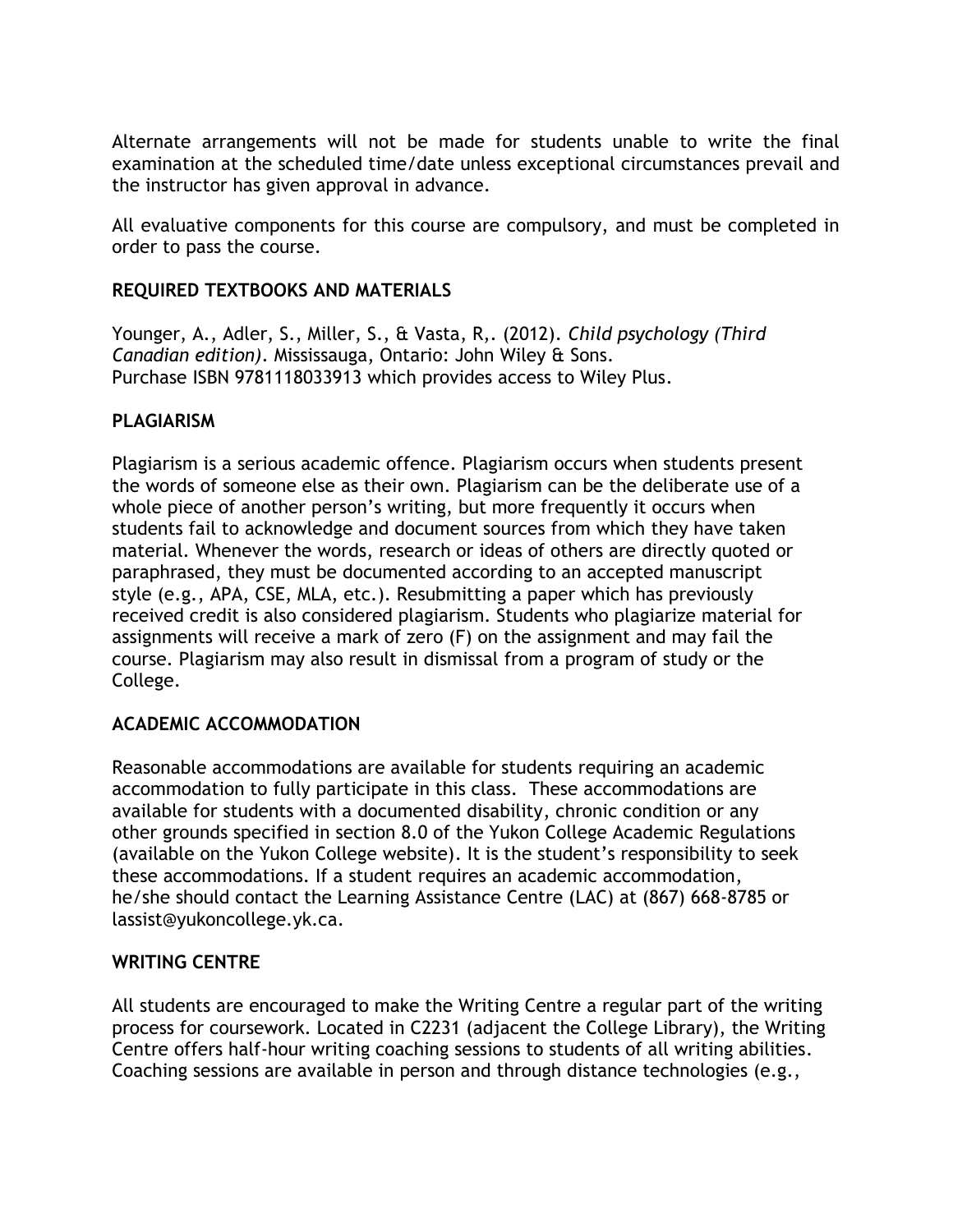Alternate arrangements will not be made for students unable to write the final examination at the scheduled time/date unless exceptional circumstances prevail and the instructor has given approval in advance.

All evaluative components for this course are compulsory, and must be completed in order to pass the course.

## **REQUIRED TEXTBOOKS AND MATERIALS**

Younger, A., Adler, S., Miller, S., & Vasta, R,. (2012). *Child psychology (Third Canadian edition)*. Mississauga, Ontario: John Wiley & Sons. Purchase ISBN 9781118033913 which provides access to Wiley Plus.

## **PLAGIARISM**

Plagiarism is a serious academic offence. Plagiarism occurs when students present the words of someone else as their own. Plagiarism can be the deliberate use of a whole piece of another person's writing, but more frequently it occurs when students fail to acknowledge and document sources from which they have taken material. Whenever the words, research or ideas of others are directly quoted or paraphrased, they must be documented according to an accepted manuscript style (e.g., APA, CSE, MLA, etc.). Resubmitting a paper which has previously received credit is also considered plagiarism. Students who plagiarize material for assignments will receive a mark of zero (F) on the assignment and may fail the course. Plagiarism may also result in dismissal from a program of study or the College.

#### **ACADEMIC ACCOMMODATION**

Reasonable accommodations are available for students requiring an academic accommodation to fully participate in this class. These accommodations are available for students with a documented disability, chronic condition or any other grounds specified in section 8.0 of the Yukon College Academic Regulations (available on the Yukon College website). It is the student's responsibility to seek these accommodations. If a student requires an academic accommodation, he/she should contact the Learning Assistance Centre (LAC) at (867) 668-8785 or lassist@yukoncollege.yk.ca.

#### **WRITING CENTRE**

All students are encouraged to make the Writing Centre a regular part of the writing process for coursework. Located in C2231 (adjacent the College Library), the Writing Centre offers half-hour writing coaching sessions to students of all writing abilities. Coaching sessions are available in person and through distance technologies (e.g.,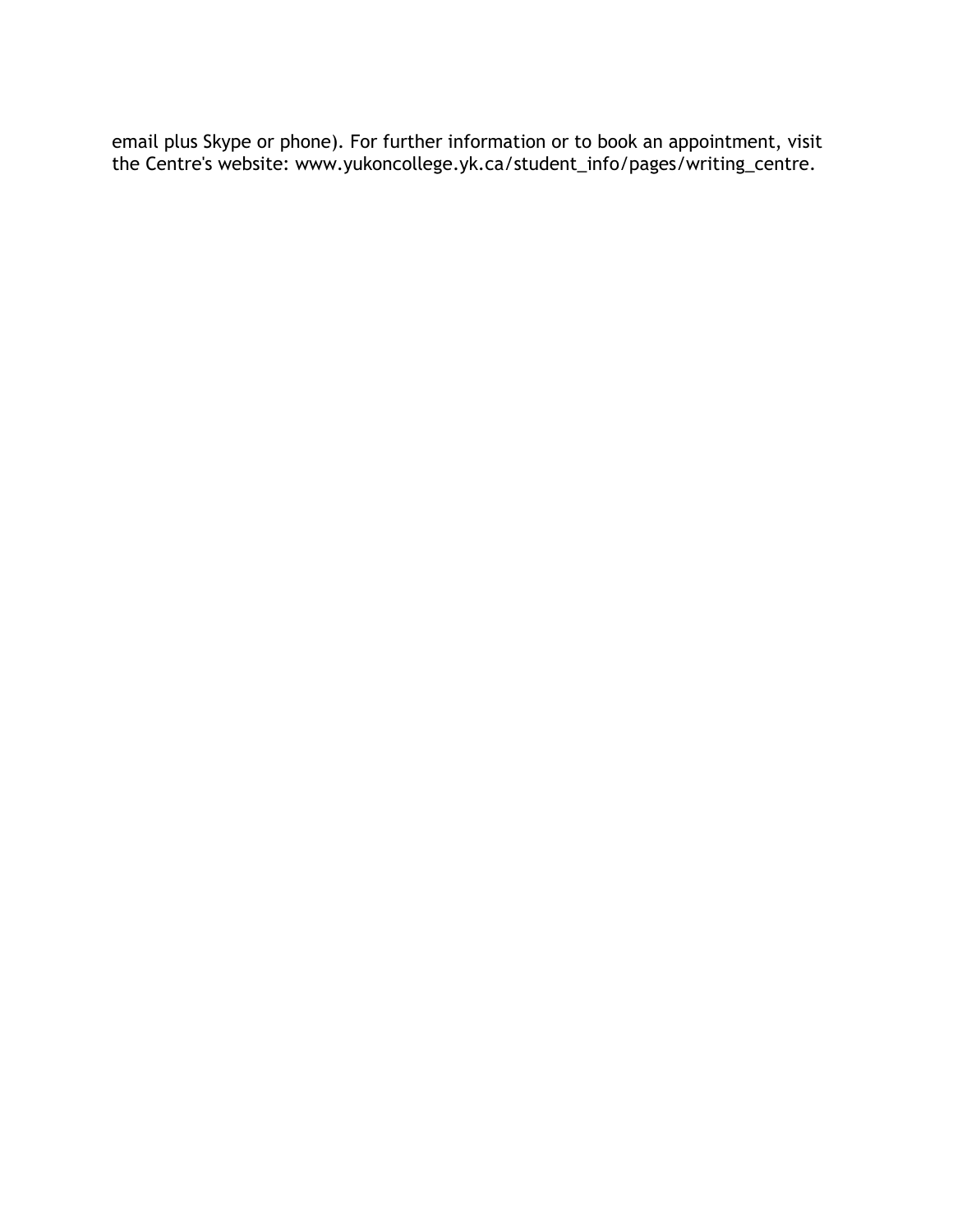email plus Skype or phone). For further information or to book an appointment, visit the Centre's website: www.yukoncollege.yk.ca/student\_info/pages/writing\_centre.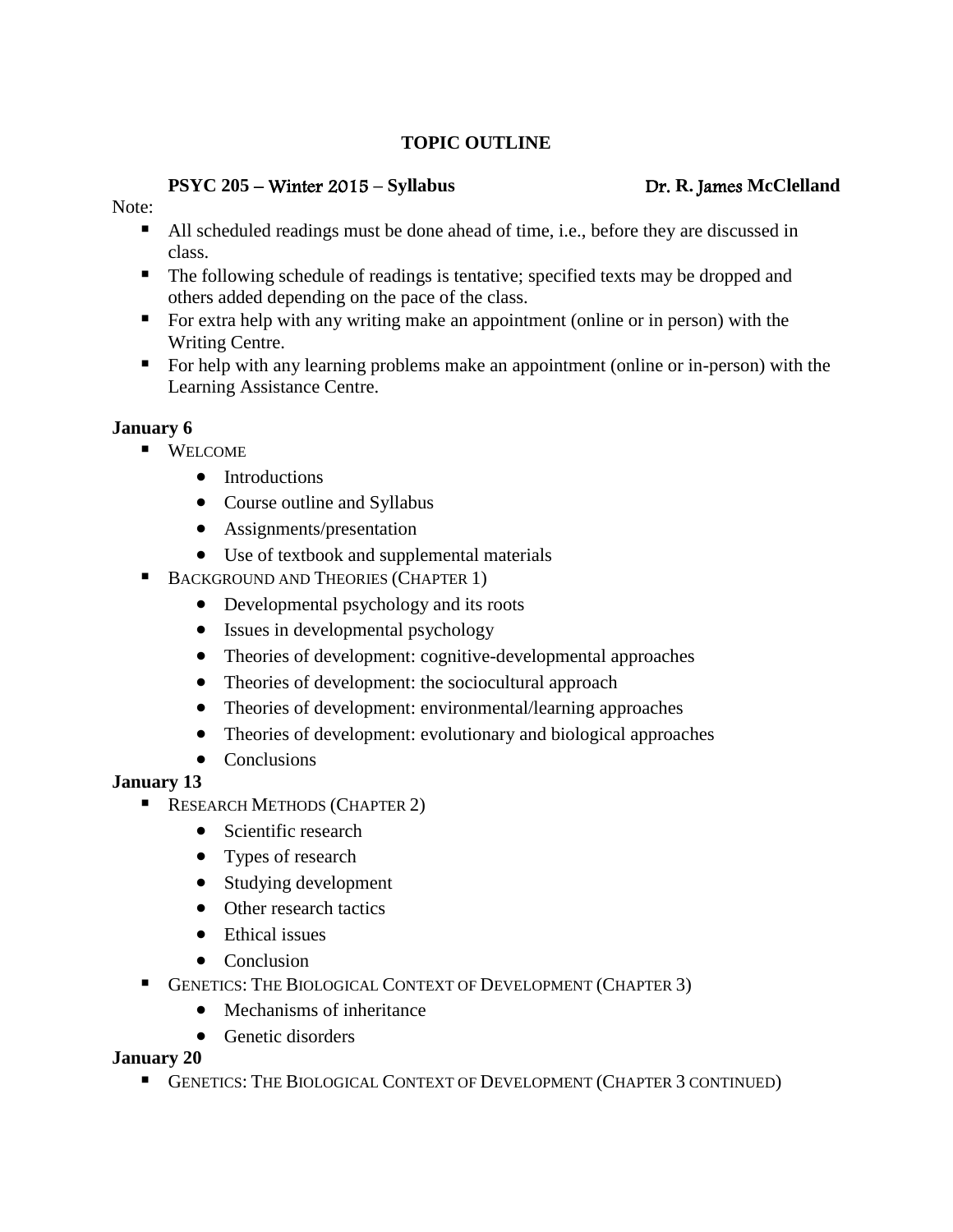## **TOPIC OUTLINE**

#### **PSYC 205** – Winter 2015 **– Syllabus** Dr. **R.** James **McClelland**

#### Note:

- All scheduled readings must be done ahead of time, i.e., before they are discussed in class.
- The following schedule of readings is tentative; specified texts may be dropped and others added depending on the pace of the class.
- For extra help with any writing make an appointment (online or in person) with the Writing Centre.
- For help with any learning problems make an appointment (online or in-person) with the Learning Assistance Centre.

# **January 6**

- **WELCOME** 
	- Introductions
	- Course outline and Syllabus
	- Assignments/presentation
	- Use of textbook and supplemental materials
- **BACKGROUND AND THEORIES (CHAPTER 1)** 
	- Developmental psychology and its roots
	- Issues in developmental psychology
	- Theories of development: cognitive-developmental approaches
	- Theories of development: the sociocultural approach
	- Theories of development: environmental/learning approaches
	- Theories of development: evolutionary and biological approaches
	- Conclusions

# **January 13**

- **RESEARCH METHODS (CHAPTER 2)** 
	- Scientific research
	- Types of research
	- Studying development
	- Other research tactics
	- Ethical issues
	- Conclusion
- GENETICS: THE BIOLOGICAL CONTEXT OF DEVELOPMENT (CHAPTER 3)
	- Mechanisms of inheritance
	- Genetic disorders

# **January 20**

**GENETICS: THE BIOLOGICAL CONTEXT OF DEVELOPMENT (CHAPTER 3 CONTINUED)**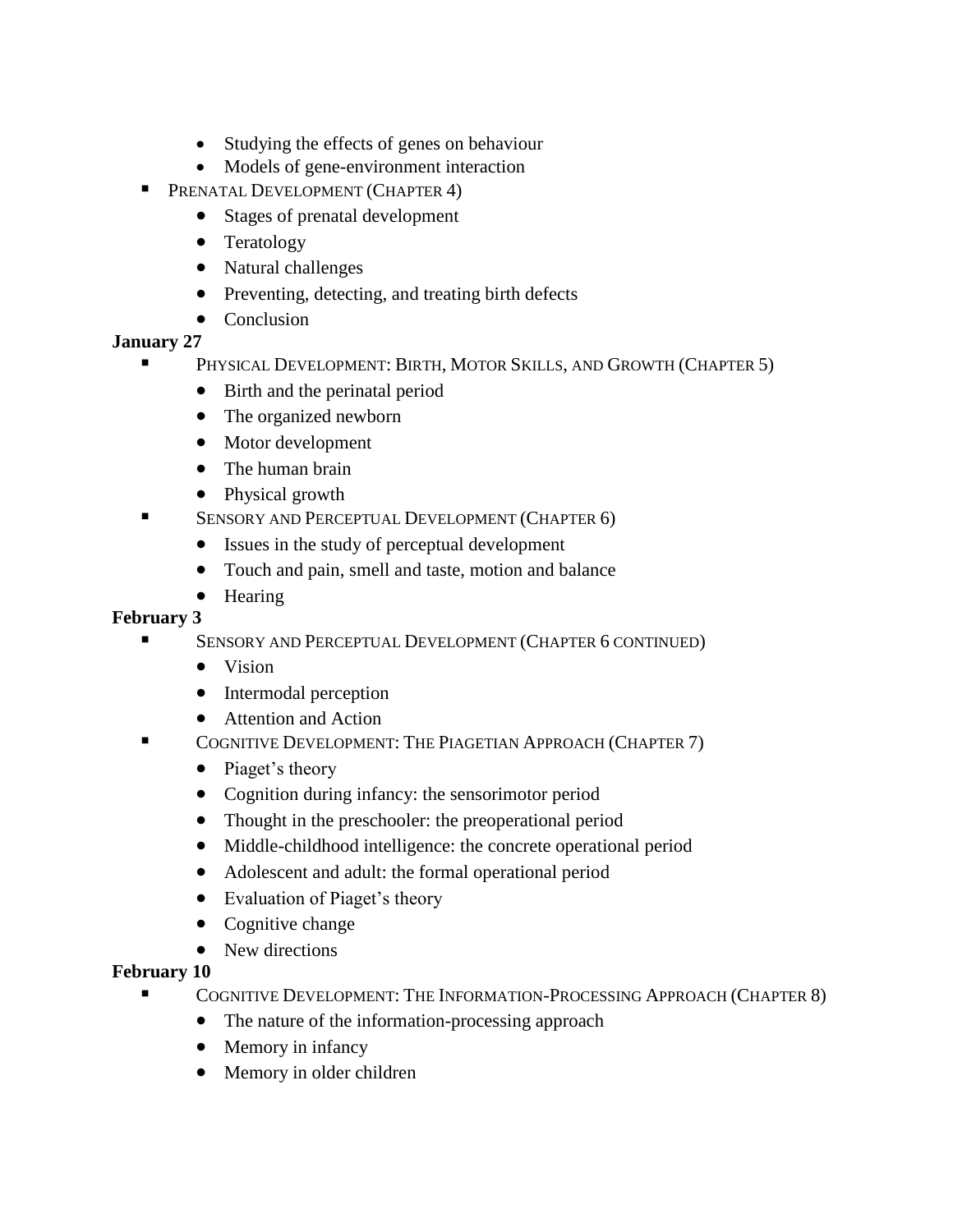- Studying the effects of genes on behaviour
- Models of gene-environment interaction
- **PRENATAL DEVELOPMENT (CHAPTER 4)** 
	- Stages of prenatal development
	- Teratology
	- Natural challenges
	- Preventing, detecting, and treating birth defects
	- Conclusion

## **January 27**

- PHYSICAL DEVELOPMENT: BIRTH, MOTOR SKILLS, AND GROWTH (CHAPTER 5)
	- Birth and the perinatal period
	- The organized newborn
	- Motor development
	- The human brain
	- Physical growth
- **SENSORY AND PERCEPTUAL DEVELOPMENT (CHAPTER 6)** 
	- Issues in the study of perceptual development
	- Touch and pain, smell and taste, motion and balance
	- Hearing

### **February 3**

- SENSORY AND PERCEPTUAL DEVELOPMENT (CHAPTER 6 CONTINUED)
	- Vision
	- Intermodal perception
	- Attention and Action
- COGNITIVE DEVELOPMENT: THE PIAGETIAN APPROACH (CHAPTER 7)
	- Piaget's theory
	- Cognition during infancy: the sensorimotor period
	- Thought in the preschooler: the preoperational period
	- Middle-childhood intelligence: the concrete operational period
	- Adolescent and adult: the formal operational period
	- Evaluation of Piaget's theory
	- Cognitive change
	- New directions

# **February 10**

- COGNITIVE DEVELOPMENT: THE INFORMATION-PROCESSING APPROACH (CHAPTER 8)
	- The nature of the information-processing approach
	- Memory in infancy
	- Memory in older children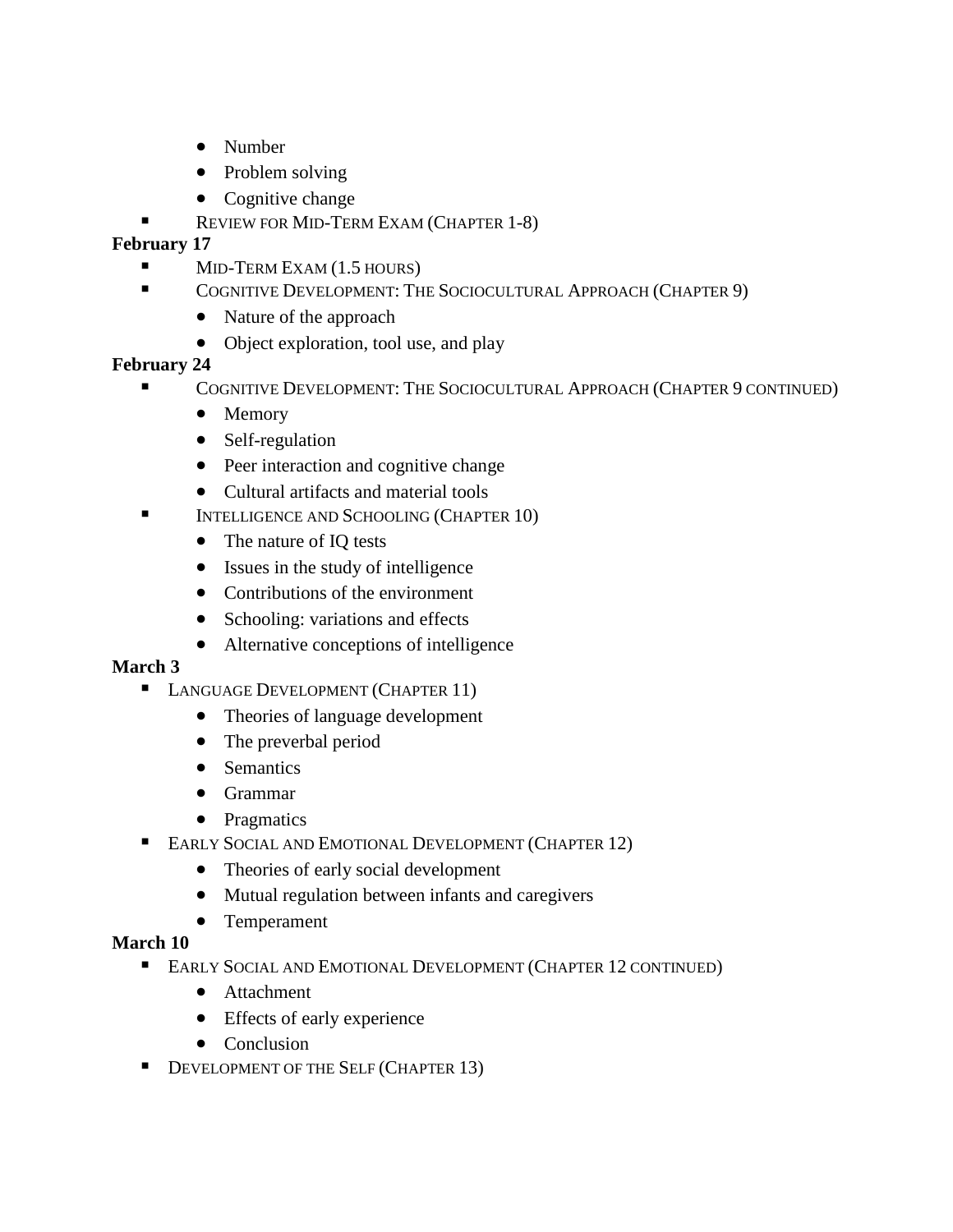- Number
- Problem solving
- Cognitive change
- REVIEW FOR MID-TERM EXAM (CHAPTER 1-8)

### **February 17**

- $\blacksquare$  MID-TERM EXAM (1.5 HOURS)
- COGNITIVE DEVELOPMENT: THE SOCIOCULTURAL APPROACH (CHAPTER 9)
	- Nature of the approach
	- Object exploration, tool use, and play

## **February 24**

- COGNITIVE DEVELOPMENT: THE SOCIOCULTURAL APPROACH (CHAPTER 9 CONTINUED)
	- Memory
	- Self-regulation
	- Peer interaction and cognitive change
	- Cultural artifacts and material tools
- INTELLIGENCE AND SCHOOLING (CHAPTER 10)
	- The nature of IQ tests
	- Issues in the study of intelligence
	- Contributions of the environment
	- Schooling: variations and effects
	- Alternative conceptions of intelligence

#### **March 3**

- **LANGUAGE DEVELOPMENT (CHAPTER 11)** 
	- Theories of language development
	- The preverbal period
	- Semantics
	- Grammar
	- Pragmatics
- **EARLY SOCIAL AND EMOTIONAL DEVELOPMENT (CHAPTER 12)** 
	- Theories of early social development
	- Mutual regulation between infants and caregivers
	- Temperament

#### **March 10**

- **EARLY SOCIAL AND EMOTIONAL DEVELOPMENT (CHAPTER 12 CONTINUED)** 
	- Attachment
	- Effects of early experience
	- Conclusion
- DEVELOPMENT OF THE SELF (CHAPTER 13)